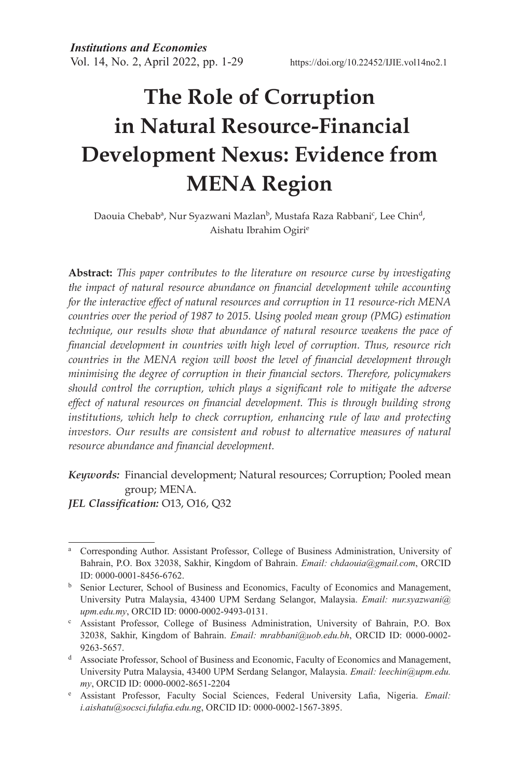# **The Role of Corruption in Natural Resource-Financial Development Nexus: Evidence from MENA Region**

Daouia Chebab<sup>a</sup>, Nur Syazwani Mazlan<sup>b</sup>, Mustafa Raza Rabbani<sup>c</sup>, Lee Chin<sup>d</sup>, Aishatu Ibrahim Ogirie

**Abstract:** *This paper contributes to the literature on resource curse by investigating the impact of natural resource abundance on financial development while accounting for the interactive effect of natural resources and corruption in 11 resource-rich MENA countries over the period of 1987 to 2015. Using pooled mean group (PMG) estimation technique, our results show that abundance of natural resource weakens the pace of financial development in countries with high level of corruption. Thus, resource rich countries in the MENA region will boost the level of financial development through minimising the degree of corruption in their financial sectors. Therefore, policymakers should control the corruption, which plays a significant role to mitigate the adverse effect of natural resources on financial development. This is through building strong institutions, which help to check corruption, enhancing rule of law and protecting investors. Our results are consistent and robust to alternative measures of natural resource abundance and financial development.*

*Keywords:* Financial development; Natural resources; Corruption; Pooled mean group; MENA.

*JEL Classification:* O13, O16, Q32

<sup>&</sup>lt;sup>a</sup> Corresponding Author. Assistant Professor, College of Business Administration, University of Bahrain, P.O. Box 32038, Sakhir, Kingdom of Bahrain. *Email: chdaouia@gmail.com*, ORCID ID: 0000-0001-8456-6762.

**b** Senior Lecturer, School of Business and Economics, Faculty of Economics and Management, University Putra Malaysia, 43400 UPM Serdang Selangor, Malaysia. *Email: nur.syazwani@ upm.edu.my*, ORCID ID: 0000-0002-9493-0131.

<sup>c</sup> Assistant Professor, College of Business Administration, University of Bahrain, P.O. Box 32038, Sakhir, Kingdom of Bahrain. *Email: mrabbani@uob.edu.bh*, ORCID ID: 0000-0002- 9263-5657.

<sup>d</sup> Associate Professor, School of Business and Economic, Faculty of Economics and Management, University Putra Malaysia, 43400 UPM Serdang Selangor, Malaysia. *Email: leechin@upm.edu.* my, ORCID ID: 0000-0002-8651-2204

Assistant Professor, Faculty Social Sciences, Federal University Lafia, Nigeria. *Email: i.aishatu@socsci.fulafia.edu.ng*, ORCID ID: 0000-0002-1567-3895.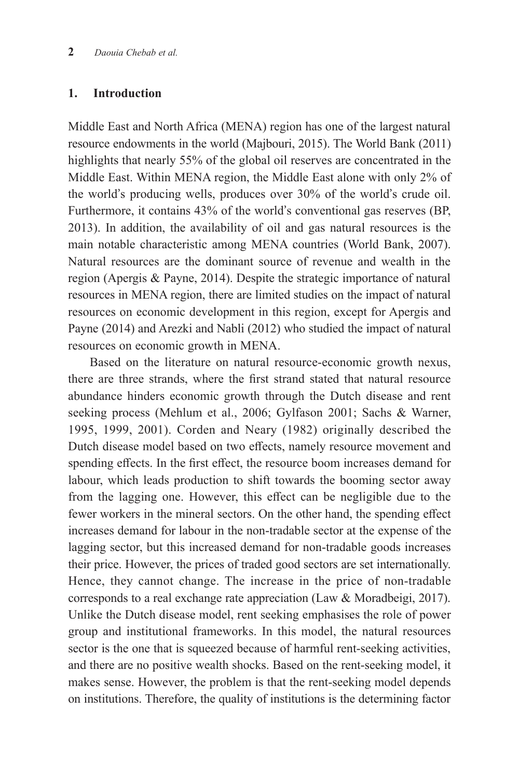## **1. Introduction**

Middle East and North Africa (MENA) region has one of the largest natural resource endowments in the world (Majbouri, 2015). The World Bank (2011) highlights that nearly 55% of the global oil reserves are concentrated in the Middle East. Within MENA region, the Middle East alone with only 2% of the world's producing wells, produces over 30% of the world's crude oil. Furthermore, it contains 43% of the world's conventional gas reserves (BP, 2013). In addition, the availability of oil and gas natural resources is the main notable characteristic among MENA countries (World Bank, 2007). Natural resources are the dominant source of revenue and wealth in the region (Apergis & Payne, 2014). Despite the strategic importance of natural resources in MENA region, there are limited studies on the impact of natural resources on economic development in this region, except for Apergis and Payne (2014) and Arezki and Nabli (2012) who studied the impact of natural resources on economic growth in MENA.

Based on the literature on natural resource-economic growth nexus, there are three strands, where the first strand stated that natural resource abundance hinders economic growth through the Dutch disease and rent seeking process (Mehlum et al., 2006; Gylfason 2001; Sachs & Warner, 1995, 1999, 2001). Corden and Neary (1982) originally described the Dutch disease model based on two effects, namely resource movement and spending effects. In the first effect, the resource boom increases demand for labour, which leads production to shift towards the booming sector away from the lagging one. However, this effect can be negligible due to the fewer workers in the mineral sectors. On the other hand, the spending effect increases demand for labour in the non-tradable sector at the expense of the lagging sector, but this increased demand for non-tradable goods increases their price. However, the prices of traded good sectors are set internationally. Hence, they cannot change. The increase in the price of non-tradable corresponds to a real exchange rate appreciation (Law & Moradbeigi, 2017). Unlike the Dutch disease model, rent seeking emphasises the role of power group and institutional frameworks. In this model, the natural resources sector is the one that is squeezed because of harmful rent-seeking activities, and there are no positive wealth shocks. Based on the rent-seeking model, it makes sense. However, the problem is that the rent-seeking model depends on institutions. Therefore, the quality of institutions is the determining factor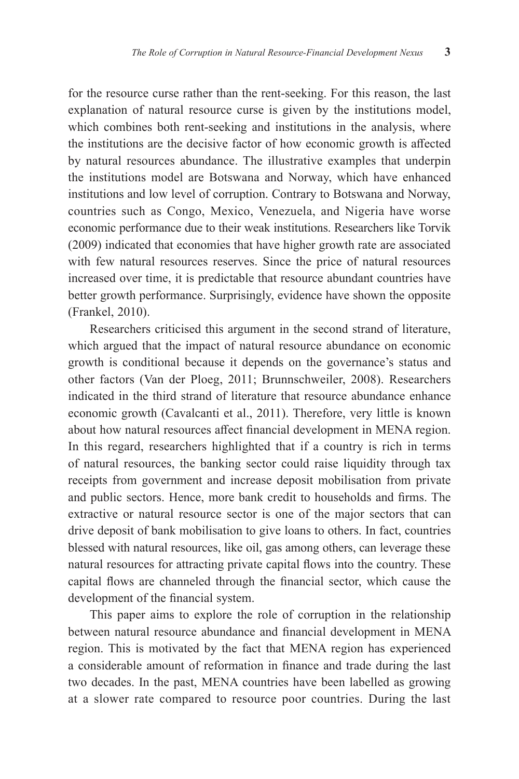for the resource curse rather than the rent-seeking. For this reason, the last explanation of natural resource curse is given by the institutions model, which combines both rent-seeking and institutions in the analysis, where the institutions are the decisive factor of how economic growth is affected by natural resources abundance. The illustrative examples that underpin the institutions model are Botswana and Norway, which have enhanced institutions and low level of corruption. Contrary to Botswana and Norway, countries such as Congo, Mexico, Venezuela, and Nigeria have worse economic performance due to their weak institutions. Researchers like Torvik (2009) indicated that economies that have higher growth rate are associated with few natural resources reserves. Since the price of natural resources increased over time, it is predictable that resource abundant countries have better growth performance. Surprisingly, evidence have shown the opposite (Frankel, 2010).

Researchers criticised this argument in the second strand of literature, which argued that the impact of natural resource abundance on economic growth is conditional because it depends on the governance's status and other factors (Van der Ploeg, 2011; Brunnschweiler, 2008). Researchers indicated in the third strand of literature that resource abundance enhance economic growth (Cavalcanti et al., 2011). Therefore, very little is known about how natural resources affect financial development in MENA region. In this regard, researchers highlighted that if a country is rich in terms of natural resources, the banking sector could raise liquidity through tax receipts from government and increase deposit mobilisation from private and public sectors. Hence, more bank credit to households and firms. The extractive or natural resource sector is one of the major sectors that can drive deposit of bank mobilisation to give loans to others. In fact, countries blessed with natural resources, like oil, gas among others, can leverage these natural resources for attracting private capital flows into the country. These capital flows are channeled through the financial sector, which cause the development of the financial system.

This paper aims to explore the role of corruption in the relationship between natural resource abundance and financial development in MENA region. This is motivated by the fact that MENA region has experienced a considerable amount of reformation in finance and trade during the last two decades. In the past, MENA countries have been labelled as growing at a slower rate compared to resource poor countries. During the last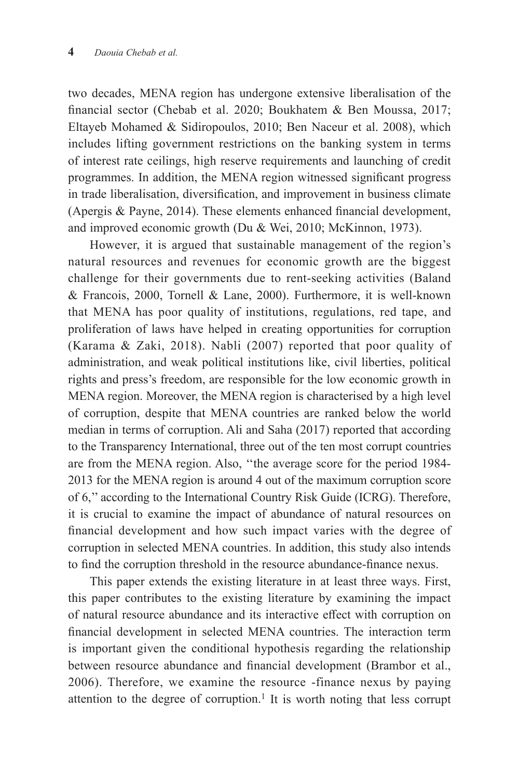two decades, MENA region has undergone extensive liberalisation of the financial sector (Chebab et al. 2020; Boukhatem & Ben Moussa, 2017; Eltayeb Mohamed & Sidiropoulos, 2010; Ben Naceur et al. 2008), which includes lifting government restrictions on the banking system in terms of interest rate ceilings, high reserve requirements and launching of credit programmes. In addition, the MENA region witnessed significant progress in trade liberalisation, diversification, and improvement in business climate (Apergis & Payne, 2014). These elements enhanced financial development, and improved economic growth (Du & Wei, 2010; McKinnon, 1973).

However, it is argued that sustainable management of the region's natural resources and revenues for economic growth are the biggest challenge for their governments due to rent-seeking activities (Baland & Francois, 2000, Tornell & Lane, 2000). Furthermore, it is well-known that MENA has poor quality of institutions, regulations, red tape, and proliferation of laws have helped in creating opportunities for corruption (Karama & Zaki, 2018). Nabli (2007) reported that poor quality of administration, and weak political institutions like, civil liberties, political rights and press's freedom, are responsible for the low economic growth in MENA region. Moreover, the MENA region is characterised by a high level of corruption, despite that MENA countries are ranked below the world median in terms of corruption. Ali and Saha (2017) reported that according to the Transparency International, three out of the ten most corrupt countries are from the MENA region. Also, ''the average score for the period 1984- 2013 for the MENA region is around 4 out of the maximum corruption score of 6,'' according to the International Country Risk Guide (ICRG). Therefore, it is crucial to examine the impact of abundance of natural resources on financial development and how such impact varies with the degree of corruption in selected MENA countries. In addition, this study also intends to find the corruption threshold in the resource abundance-finance nexus.

This paper extends the existing literature in at least three ways. First, this paper contributes to the existing literature by examining the impact of natural resource abundance and its interactive effect with corruption on financial development in selected MENA countries. The interaction term is important given the conditional hypothesis regarding the relationship between resource abundance and financial development (Brambor et al., 2006). Therefore, we examine the resource -finance nexus by paying attention to the degree of corruption.<sup>1</sup> It is worth noting that less corrupt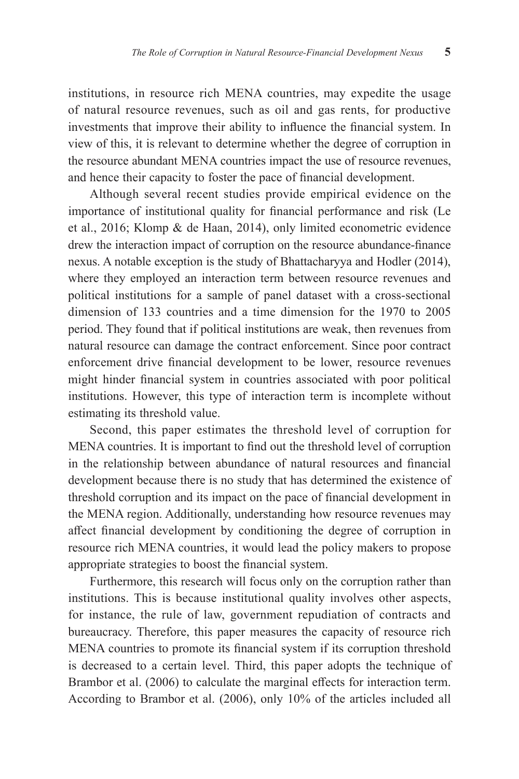institutions, in resource rich MENA countries, may expedite the usage of natural resource revenues, such as oil and gas rents, for productive investments that improve their ability to influence the financial system. In view of this, it is relevant to determine whether the degree of corruption in the resource abundant MENA countries impact the use of resource revenues, and hence their capacity to foster the pace of financial development.

Although several recent studies provide empirical evidence on the importance of institutional quality for financial performance and risk (Le et al., 2016; Klomp & de Haan, 2014), only limited econometric evidence drew the interaction impact of corruption on the resource abundance-finance nexus. A notable exception is the study of Bhattacharyya and Hodler (2014), where they employed an interaction term between resource revenues and political institutions for a sample of panel dataset with a cross-sectional dimension of 133 countries and a time dimension for the 1970 to 2005 period. They found that if political institutions are weak, then revenues from natural resource can damage the contract enforcement. Since poor contract enforcement drive financial development to be lower, resource revenues might hinder financial system in countries associated with poor political institutions. However, this type of interaction term is incomplete without estimating its threshold value.

Second, this paper estimates the threshold level of corruption for MENA countries. It is important to find out the threshold level of corruption in the relationship between abundance of natural resources and financial development because there is no study that has determined the existence of threshold corruption and its impact on the pace of financial development in the MENA region. Additionally, understanding how resource revenues may affect financial development by conditioning the degree of corruption in resource rich MENA countries, it would lead the policy makers to propose appropriate strategies to boost the financial system.

Furthermore, this research will focus only on the corruption rather than institutions. This is because institutional quality involves other aspects, for instance, the rule of law, government repudiation of contracts and bureaucracy. Therefore, this paper measures the capacity of resource rich MENA countries to promote its financial system if its corruption threshold is decreased to a certain level. Third, this paper adopts the technique of Brambor et al. (2006) to calculate the marginal effects for interaction term. According to Brambor et al. (2006), only 10% of the articles included all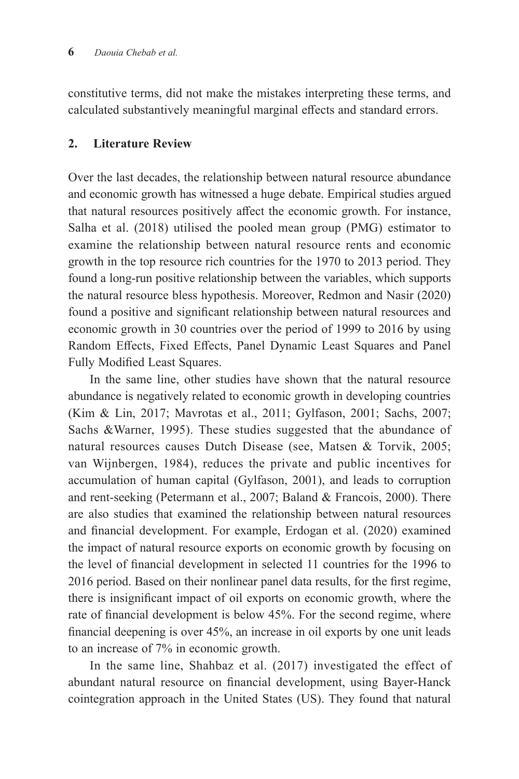constitutive terms, did not make the mistakes interpreting these terms, and calculated substantively meaningful marginal effects and standard errors.

## **2. Literature Review**

Over the last decades, the relationship between natural resource abundance and economic growth has witnessed a huge debate. Empirical studies argued that natural resources positively affect the economic growth. For instance, Salha et al. (2018) utilised the pooled mean group (PMG) estimator to examine the relationship between natural resource rents and economic growth in the top resource rich countries for the 1970 to 2013 period. They found a long-run positive relationship between the variables, which supports the natural resource bless hypothesis. Moreover, Redmon and Nasir (2020) found a positive and significant relationship between natural resources and economic growth in 30 countries over the period of 1999 to 2016 by using Random Effects, Fixed Effects, Panel Dynamic Least Squares and Panel Fully Modified Least Squares.

In the same line, other studies have shown that the natural resource abundance is negatively related to economic growth in developing countries (Kim & Lin, 2017; Mavrotas et al., 2011; Gylfason, 2001; Sachs, 2007; Sachs &Warner, 1995). These studies suggested that the abundance of natural resources causes Dutch Disease (see, Matsen & Torvik, 2005; van Wijnbergen, 1984), reduces the private and public incentives for accumulation of human capital (Gylfason, 2001), and leads to corruption and rent-seeking (Petermann et al., 2007; Baland & Francois, 2000). There are also studies that examined the relationship between natural resources and financial development. For example, Erdogan et al. (2020) examined the impact of natural resource exports on economic growth by focusing on the level of financial development in selected 11 countries for the 1996 to 2016 period. Based on their nonlinear panel data results, for the first regime, there is insignificant impact of oil exports on economic growth, where the rate of financial development is below 45%. For the second regime, where financial deepening is over 45%, an increase in oil exports by one unit leads to an increase of 7% in economic growth.

In the same line, Shahbaz et al. (2017) investigated the effect of abundant natural resource on financial development, using Bayer-Hanck cointegration approach in the United States (US). They found that natural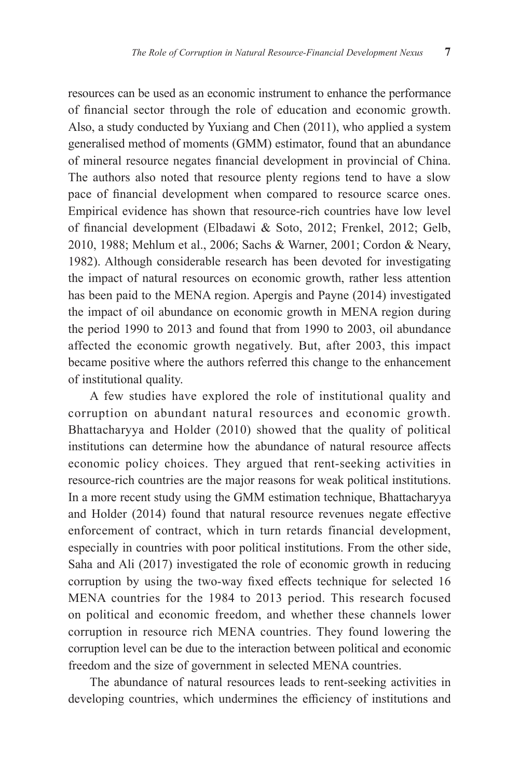resources can be used as an economic instrument to enhance the performance of financial sector through the role of education and economic growth. Also, a study conducted by Yuxiang and Chen (2011), who applied a system generalised method of moments (GMM) estimator, found that an abundance of mineral resource negates financial development in provincial of China. The authors also noted that resource plenty regions tend to have a slow pace of financial development when compared to resource scarce ones. Empirical evidence has shown that resource-rich countries have low level of financial development (Elbadawi & Soto, 2012; Frenkel, 2012; Gelb, 2010, 1988; Mehlum et al., 2006; Sachs & Warner, 2001; Cordon & Neary, 1982). Although considerable research has been devoted for investigating the impact of natural resources on economic growth, rather less attention has been paid to the MENA region. Apergis and Payne (2014) investigated the impact of oil abundance on economic growth in MENA region during the period 1990 to 2013 and found that from 1990 to 2003, oil abundance affected the economic growth negatively. But, after 2003, this impact became positive where the authors referred this change to the enhancement of institutional quality.

A few studies have explored the role of institutional quality and corruption on abundant natural resources and economic growth. Bhattacharyya and Holder (2010) showed that the quality of political institutions can determine how the abundance of natural resource affects economic policy choices. They argued that rent-seeking activities in resource-rich countries are the major reasons for weak political institutions. In a more recent study using the GMM estimation technique, Bhattacharyya and Holder (2014) found that natural resource revenues negate effective enforcement of contract, which in turn retards financial development, especially in countries with poor political institutions. From the other side, Saha and Ali (2017) investigated the role of economic growth in reducing corruption by using the two-way fixed effects technique for selected 16 MENA countries for the 1984 to 2013 period. This research focused on political and economic freedom, and whether these channels lower corruption in resource rich MENA countries. They found lowering the corruption level can be due to the interaction between political and economic freedom and the size of government in selected MENA countries.

The abundance of natural resources leads to rent-seeking activities in developing countries, which undermines the efficiency of institutions and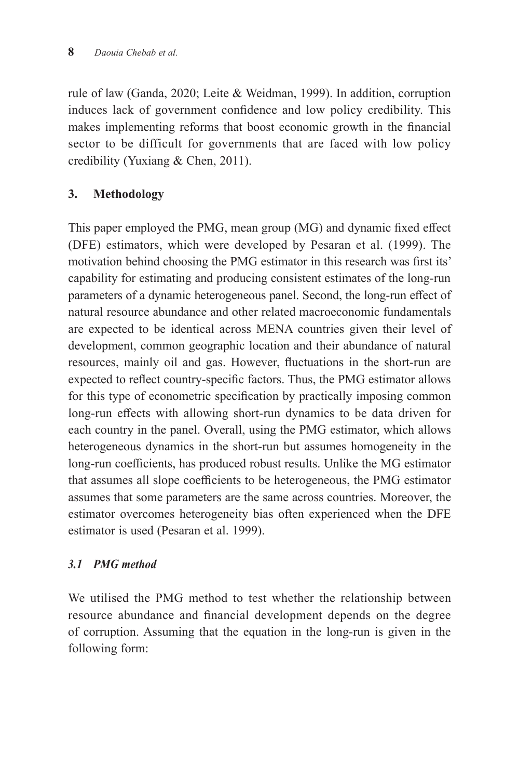rule of law (Ganda, 2020; Leite & Weidman, 1999). In addition, corruption induces lack of government confidence and low policy credibility. This makes implementing reforms that boost economic growth in the financial sector to be difficult for governments that are faced with low policy credibility (Yuxiang & Chen, 2011).

# **3. Methodology**

This paper employed the PMG, mean group (MG) and dynamic fixed effect (DFE) estimators, which were developed by Pesaran et al. (1999). The motivation behind choosing the PMG estimator in this research was first its' capability for estimating and producing consistent estimates of the long-run parameters of a dynamic heterogeneous panel. Second, the long-run effect of natural resource abundance and other related macroeconomic fundamentals are expected to be identical across MENA countries given their level of development, common geographic location and their abundance of natural resources, mainly oil and gas. However, fluctuations in the short-run are expected to reflect country-specific factors. Thus, the PMG estimator allows for this type of econometric specification by practically imposing common long-run effects with allowing short-run dynamics to be data driven for each country in the panel. Overall, using the PMG estimator, which allows heterogeneous dynamics in the short-run but assumes homogeneity in the long-run coefficients, has produced robust results. Unlike the MG estimator that assumes all slope coefficients to be heterogeneous, the PMG estimator assumes that some parameters are the same across countries. Moreover, the estimator overcomes heterogeneity bias often experienced when the DFE estimator is used (Pesaran et al. 1999).

# *3.1 PMG method*

We utilised the PMG method to test whether the relationship between resource abundance and financial development depends on the degree of corruption. Assuming that the equation in the long-run is given in the following form: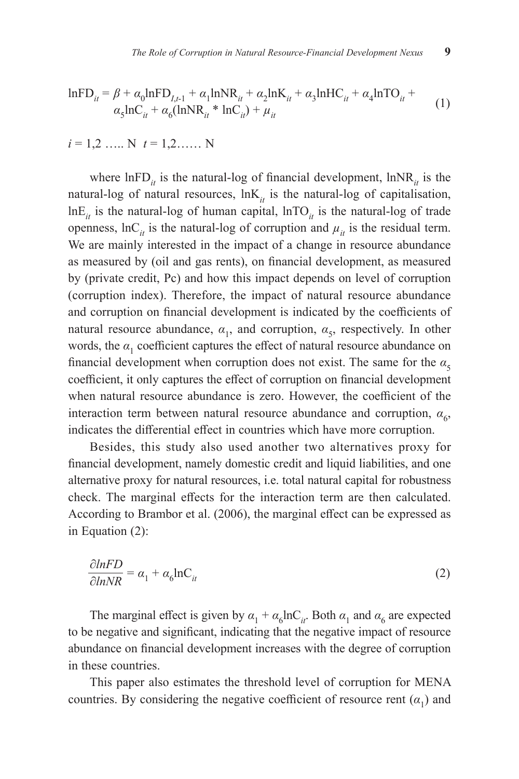$$
lnFD_{it} = \beta + \alpha_0 lnFD_{I,t-1} + \alpha_1 lnNR_{it} + \alpha_2 lnK_{it} + \alpha_3 lnHC_{it} + \alpha_4 lnTO_{it} + \alpha_5 lnC_{it} + \alpha_6 (lnNR_{it} * lnC_{it}) + \mu_{it}
$$
 (1)

$$
i = 1, 2, \ldots, N
$$
  $t = 1, 2, \ldots, N$ 

where  $lnFD_{it}$  is the natural-log of financial development,  $lnNR_{it}$  is the natural-log of natural resources,  $lnK<sub>it</sub>$  is the natural-log of capitalisation,  $lnE_i$  is the natural-log of human capital,  $lnTO_i$  is the natural-log of trade openness,  $\ln C_i$  is the natural-log of corruption and  $\mu_i$  is the residual term. We are mainly interested in the impact of a change in resource abundance as measured by (oil and gas rents), on financial development, as measured by (private credit, Pc) and how this impact depends on level of corruption (corruption index). Therefore, the impact of natural resource abundance and corruption on financial development is indicated by the coefficients of natural resource abundance,  $\alpha_1$ , and corruption,  $\alpha_5$ , respectively. In other words, the  $\alpha_1$  coefficient captures the effect of natural resource abundance on financial development when corruption does not exist. The same for the  $\alpha_5$ coefficient, it only captures the effect of corruption on financial development when natural resource abundance is zero. However, the coefficient of the interaction term between natural resource abundance and corruption,  $\alpha_{6}$ , indicates the differential effect in countries which have more corruption.

Besides, this study also used another two alternatives proxy for financial development, namely domestic credit and liquid liabilities, and one alternative proxy for natural resources, i.e. total natural capital for robustness check. The marginal effects for the interaction term are then calculated. According to Brambor et al. (2006), the marginal effect can be expressed as in Equation (2):

$$
\frac{\partial lnFD}{\partial lnNR} = \alpha_1 + \alpha_6 lnC_{it}
$$
\n(2)

The marginal effect is given by  $\alpha_1 + \alpha_6 \ln C_i$ . Both  $\alpha_1$  and  $\alpha_6$  are expected to be negative and significant, indicating that the negative impact of resource abundance on financial development increases with the degree of corruption in these countries.

This paper also estimates the threshold level of corruption for MENA countries. By considering the negative coefficient of resource rent  $(a_1)$  and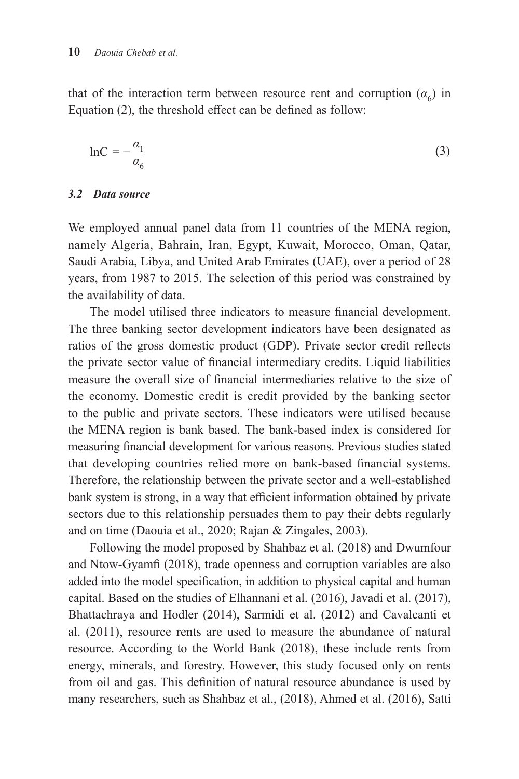that of the interaction term between resource rent and corruption  $(a<sub>6</sub>)$  in Equation (2), the threshold effect can be defined as follow:

$$
\ln C = -\frac{\alpha_1}{\alpha_6} \tag{3}
$$

#### *3.2 Data source*

We employed annual panel data from 11 countries of the MENA region, namely Algeria, Bahrain, Iran, Egypt, Kuwait, Morocco, Oman, Qatar, Saudi Arabia, Libya, and United Arab Emirates (UAE), over a period of 28 years, from 1987 to 2015. The selection of this period was constrained by the availability of data.

The model utilised three indicators to measure financial development. The three banking sector development indicators have been designated as ratios of the gross domestic product (GDP). Private sector credit reflects the private sector value of financial intermediary credits. Liquid liabilities measure the overall size of financial intermediaries relative to the size of the economy. Domestic credit is credit provided by the banking sector to the public and private sectors. These indicators were utilised because the MENA region is bank based. The bank-based index is considered for measuring financial development for various reasons. Previous studies stated that developing countries relied more on bank-based financial systems. Therefore, the relationship between the private sector and a well-established bank system is strong, in a way that efficient information obtained by private sectors due to this relationship persuades them to pay their debts regularly and on time (Daouia et al., 2020; Rajan & Zingales, 2003).

Following the model proposed by Shahbaz et al. (2018) and Dwumfour and Ntow-Gyamfi (2018), trade openness and corruption variables are also added into the model specification, in addition to physical capital and human capital. Based on the studies of Elhannani et al. (2016), Javadi et al. (2017), Bhattachraya and Hodler (2014), Sarmidi et al. (2012) and Cavalcanti et al. (2011), resource rents are used to measure the abundance of natural resource. According to the World Bank (2018), these include rents from energy, minerals, and forestry. However, this study focused only on rents from oil and gas. This definition of natural resource abundance is used by many researchers, such as Shahbaz et al., (2018), Ahmed et al. (2016), Satti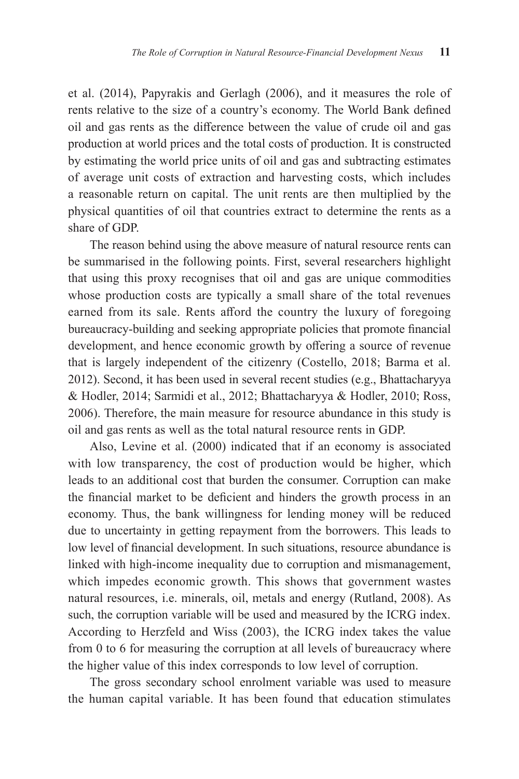et al. (2014), Papyrakis and Gerlagh (2006), and it measures the role of rents relative to the size of a country's economy. The World Bank defined oil and gas rents as the difference between the value of crude oil and gas production at world prices and the total costs of production. It is constructed by estimating the world price units of oil and gas and subtracting estimates of average unit costs of extraction and harvesting costs, which includes a reasonable return on capital. The unit rents are then multiplied by the physical quantities of oil that countries extract to determine the rents as a share of GDP.

The reason behind using the above measure of natural resource rents can be summarised in the following points. First, several researchers highlight that using this proxy recognises that oil and gas are unique commodities whose production costs are typically a small share of the total revenues earned from its sale. Rents afford the country the luxury of foregoing bureaucracy-building and seeking appropriate policies that promote financial development, and hence economic growth by offering a source of revenue that is largely independent of the citizenry (Costello, 2018; Barma et al. 2012). Second, it has been used in several recent studies (e.g., Bhattacharyya & Hodler, 2014; Sarmidi et al., 2012; Bhattacharyya & Hodler, 2010; Ross, 2006). Therefore, the main measure for resource abundance in this study is oil and gas rents as well as the total natural resource rents in GDP.

Also, Levine et al. (2000) indicated that if an economy is associated with low transparency, the cost of production would be higher, which leads to an additional cost that burden the consumer. Corruption can make the financial market to be deficient and hinders the growth process in an economy. Thus, the bank willingness for lending money will be reduced due to uncertainty in getting repayment from the borrowers. This leads to low level of financial development. In such situations, resource abundance is linked with high-income inequality due to corruption and mismanagement, which impedes economic growth. This shows that government wastes natural resources, i.e. minerals, oil, metals and energy (Rutland, 2008). As such, the corruption variable will be used and measured by the ICRG index. According to Herzfeld and Wiss (2003), the ICRG index takes the value from 0 to 6 for measuring the corruption at all levels of bureaucracy where the higher value of this index corresponds to low level of corruption.

The gross secondary school enrolment variable was used to measure the human capital variable. It has been found that education stimulates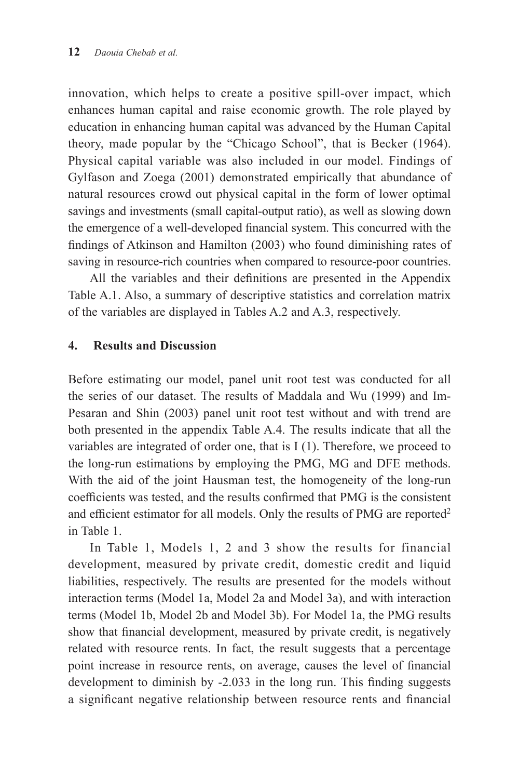innovation, which helps to create a positive spill-over impact, which enhances human capital and raise economic growth. The role played by education in enhancing human capital was advanced by the Human Capital theory, made popular by the "Chicago School", that is Becker (1964). Physical capital variable was also included in our model. Findings of Gylfason and Zoega (2001) demonstrated empirically that abundance of natural resources crowd out physical capital in the form of lower optimal savings and investments (small capital-output ratio), as well as slowing down the emergence of a well-developed financial system. This concurred with the findings of Atkinson and Hamilton (2003) who found diminishing rates of saving in resource-rich countries when compared to resource-poor countries.

All the variables and their definitions are presented in the Appendix Table A.1. Also, a summary of descriptive statistics and correlation matrix of the variables are displayed in Tables A.2 and A.3, respectively.

#### **4. Results and Discussion**

Before estimating our model, panel unit root test was conducted for all the series of our dataset. The results of Maddala and Wu (1999) and Im-Pesaran and Shin (2003) panel unit root test without and with trend are both presented in the appendix Table A.4. The results indicate that all the variables are integrated of order one, that is I (1). Therefore, we proceed to the long-run estimations by employing the PMG, MG and DFE methods. With the aid of the joint Hausman test, the homogeneity of the long-run coefficients was tested, and the results confirmed that PMG is the consistent and efficient estimator for all models. Only the results of PMG are reported<sup>2</sup> in Table 1.

In Table 1, Models 1, 2 and 3 show the results for financial development, measured by private credit, domestic credit and liquid liabilities, respectively. The results are presented for the models without interaction terms (Model 1a, Model 2a and Model 3a), and with interaction terms (Model 1b, Model 2b and Model 3b). For Model 1a, the PMG results show that financial development, measured by private credit, is negatively related with resource rents. In fact, the result suggests that a percentage point increase in resource rents, on average, causes the level of financial development to diminish by -2.033 in the long run. This finding suggests a significant negative relationship between resource rents and financial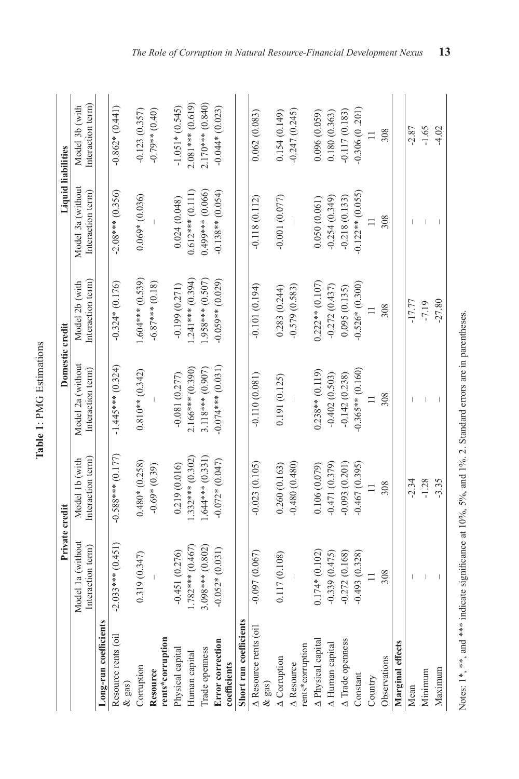|                                         |                     | Private credit      | Domestic credit     |                    | <b>Liquid liabilities</b> |                    |
|-----------------------------------------|---------------------|---------------------|---------------------|--------------------|---------------------------|--------------------|
|                                         | Model 1a (without   | Model 1b (with      | Model 2a (without   | Model 2b (with     | Model 3a (without         | Model 3b (with     |
|                                         | Interaction term)   | Interaction term    | Interaction term)   | Interaction term   | Interaction term)         | Interaction term)  |
| Long-run coefficient                    |                     |                     |                     |                    |                           |                    |
| Resource rents (oil<br>$\&$ gas)        | $-2.033***$ (0.451) | $-0.588***$ (0.177) | $-1.445***$ (0.324) | $-0.324*(0.176)$   | $-2.08***$ (0.356)        | $-0.862*(0.441)$   |
| Corruption                              | 0.319(0.347)        | $0.480*(0.258)$     | $0.810**$ (0.342)   | $1.604***$ (0.539) | $0.069*(0.036)$           | $-0.123(0.357)$    |
| Resource                                |                     | $-0.69*(0.39)$      |                     | $-6.87***$ (0.18)  |                           | $-0.79**$ (0.40)   |
| rents*corruption                        |                     |                     |                     |                    |                           |                    |
| Physical capital                        | $-0.451(0.276)$     | 0.219 (0.016)       | $-0.081(0.277)$     | $-0.199(0.271)$    | 0.024(0.048)              | $-1.051*(0.545)$   |
| Human capital                           | $1.782***$ (0.467)  | $.332***$ (0.302)   | 2.166*** (0.390)    | $1.241***$ (0.394) | $0.612***$ (0.111)        | $2.081***$ (0.619) |
| Trade openness                          | $3.098***$ (0.802)  | $.644***$ $(0.331)$ | 3.118*** (0.907)    | $(.058***0.507)$   | $0.499***$ (0.066)        | $2.170***$ (0.840) |
| <b>Error</b> correction<br>coefficients | $-0.052*(0.031)$    | $-0.072*(0.047)$    | $-0.074***$ (0.031) | $-0.059**$ (0.029) | $-0.138**$ (0.054)        | $-0.044*(0.023)$   |
| Short run coefficients                  |                     |                     |                     |                    |                           |                    |
| A Resource rents (oil<br>$\&$ gas)      | $-0.097(0.067)$     | $-0.023(0.105)$     | $-0.110(0.081)$     | $-0.101(0.194)$    | $-0.118(0.112)$           | 0.062(0.083)       |
| $\triangle$ Corruption                  | 0.117 (0.108)       | 0.260(0.163)        | 0.191 (0.125)       | 0.283 (0.244)      | $-0.001(0.077)$           | 0.154(0.149)       |
| $\triangle$ Resource                    |                     | $-0.480(0.480)$     |                     | $-0.579(0.583)$    |                           | $-0.247(0.245)$    |
| rents*corruption                        |                     |                     |                     |                    |                           |                    |
| A Physical capital                      | $0.174*(0.102)$     | 0.106(0.079)        | $0.238**$ (0.119)   | $0.222**$ (0.107)  | 0.050(0.061)              | 0.096(0.059)       |
| A Human capital                         | $-0.339(0.475)$     | $-0.471(0.379)$     | $-0.402(0.503)$     | $-0.272(0.437)$    | $-0.254(0.349)$           | 0.180(0.363)       |
| A Trade openness                        | $-0.272(0.168)$     | $-0.093(0.201)$     | $-0.142(0.238)$     | 0.095(0.135)       | $-0.218(0.133)$           | $-0.117(0.183)$    |
| Constant                                | $-0.493(0.328)$     | $-0.467(0.395)$     | $-0.365**$ (0.160)  | $-0.526*(0.300)$   | $-0.122**$ $(0.055)$      | $-0.306(0.201)$    |
| Country                                 |                     |                     |                     |                    |                           |                    |
| Observations                            | 308                 | 308                 | 308                 | 308                | 308                       | 308                |
| Marginal effects                        |                     |                     |                     |                    |                           |                    |
| Mean                                    |                     | $-2.34$             |                     | $-17.77$           |                           | $-2.87$            |

Table 1: PMG Estimations **Table 1**: PMG Estimations

 $-3.35$  $-2.34$ <br> $-1.28$ 

> $\top$

 $\bar{\rm I}$ 

Maximum Minimum

Mean  $-2.87$  –  $-17.77$  –  $-17.77$  –  $-1$ VOIT – -1.28 – -1.28 – -1.28 – -1.28 – -1.28 – -1.28 – -1.28 – -1.28 – -1.28 – -1.28 – -1.28 – -1.28 – -1.28 – -1.28 – -1.28 – -1.28 – -1.28 – -1.28 – -1.28 – -1.28 – -1.28 – -1.28 – -1.28 – -1.28 – -1.28 – -1.28 – -1.28 – Naximum – -3.35 – -3.35 – -3.35 – -4.02.27.27.91 – -4.02.27.27.91 – -4.02.27.27.91 – -4.02.27.27.97 – -4.02.27

 $\bar{\bar{1}}$  $\perp$  $\frac{1}{2}$ 

 $-2.87$  $-1.65$  $-4.02$ 

> $\bar{1}$  $\overline{1}$

 $61.7 -27.80$ 

Notes: 1\*, \*\*, and \*\*\* indicate significance at 10%, 5%, and 1%. 2. Standard errors are in parentheses. Notes: 1\*, \*\*, and \*\*\* indicate significance at 10%, 5%, and 1%. 2. Standard errors are in parentheses.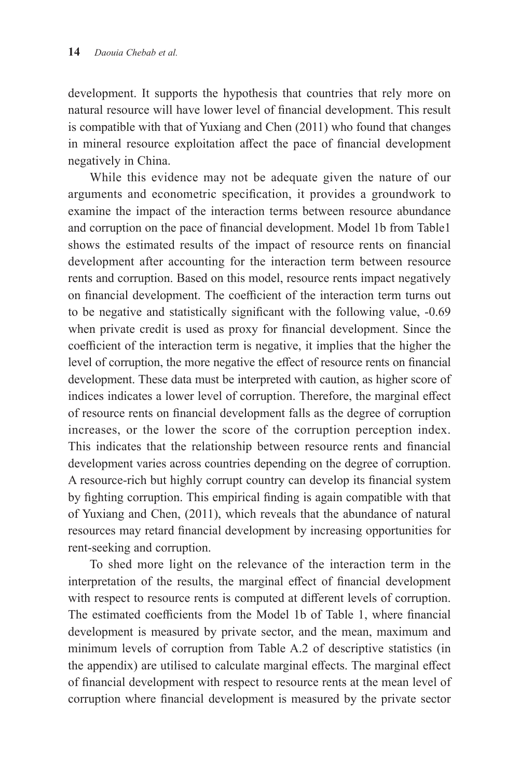development. It supports the hypothesis that countries that rely more on natural resource will have lower level of financial development. This result is compatible with that of Yuxiang and Chen (2011) who found that changes in mineral resource exploitation affect the pace of financial development negatively in China.

While this evidence may not be adequate given the nature of our arguments and econometric specification, it provides a groundwork to examine the impact of the interaction terms between resource abundance and corruption on the pace of financial development. Model 1b from Table1 shows the estimated results of the impact of resource rents on financial development after accounting for the interaction term between resource rents and corruption. Based on this model, resource rents impact negatively on financial development. The coefficient of the interaction term turns out to be negative and statistically significant with the following value, -0.69 when private credit is used as proxy for financial development. Since the coefficient of the interaction term is negative, it implies that the higher the level of corruption, the more negative the effect of resource rents on financial development. These data must be interpreted with caution, as higher score of indices indicates a lower level of corruption. Therefore, the marginal effect of resource rents on financial development falls as the degree of corruption increases, or the lower the score of the corruption perception index. This indicates that the relationship between resource rents and financial development varies across countries depending on the degree of corruption. A resource-rich but highly corrupt country can develop its financial system by fighting corruption. This empirical finding is again compatible with that of Yuxiang and Chen, (2011), which reveals that the abundance of natural resources may retard financial development by increasing opportunities for rent-seeking and corruption.

To shed more light on the relevance of the interaction term in the interpretation of the results, the marginal effect of financial development with respect to resource rents is computed at different levels of corruption. The estimated coefficients from the Model 1b of Table 1, where financial development is measured by private sector, and the mean, maximum and minimum levels of corruption from Table A.2 of descriptive statistics (in the appendix) are utilised to calculate marginal effects. The marginal effect of financial development with respect to resource rents at the mean level of corruption where financial development is measured by the private sector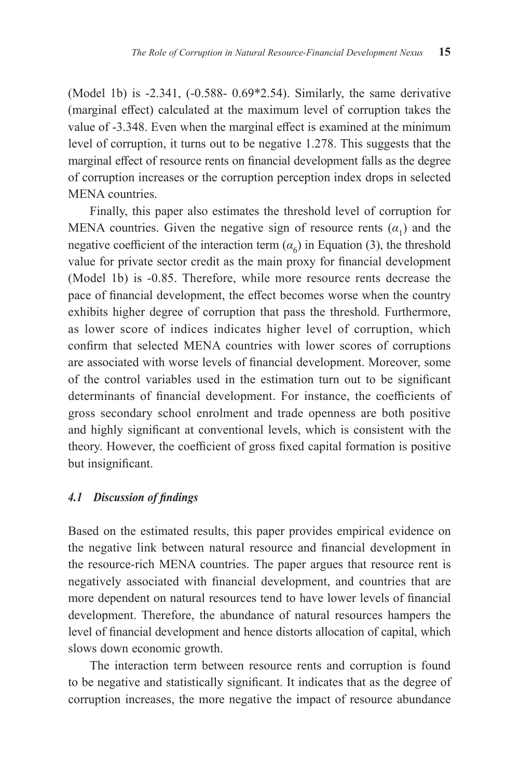(Model 1b) is -2.341, (-0.588- 0.69\*2.54). Similarly, the same derivative (marginal effect) calculated at the maximum level of corruption takes the value of -3.348. Even when the marginal effect is examined at the minimum level of corruption, it turns out to be negative 1.278. This suggests that the marginal effect of resource rents on financial development falls as the degree of corruption increases or the corruption perception index drops in selected MENA countries.

Finally, this paper also estimates the threshold level of corruption for MENA countries. Given the negative sign of resource rents  $(\alpha_1)$  and the negative coefficient of the interaction term  $(a<sub>6</sub>)$  in Equation (3), the threshold value for private sector credit as the main proxy for financial development (Model 1b) is -0.85. Therefore, while more resource rents decrease the pace of financial development, the effect becomes worse when the country exhibits higher degree of corruption that pass the threshold. Furthermore, as lower score of indices indicates higher level of corruption, which confirm that selected MENA countries with lower scores of corruptions are associated with worse levels of financial development. Moreover, some of the control variables used in the estimation turn out to be significant determinants of financial development. For instance, the coefficients of gross secondary school enrolment and trade openness are both positive and highly significant at conventional levels, which is consistent with the theory. However, the coefficient of gross fixed capital formation is positive but insignificant.

#### *4.1 Discussion of findings*

Based on the estimated results, this paper provides empirical evidence on the negative link between natural resource and financial development in the resource-rich MENA countries. The paper argues that resource rent is negatively associated with financial development, and countries that are more dependent on natural resources tend to have lower levels of financial development. Therefore, the abundance of natural resources hampers the level of financial development and hence distorts allocation of capital, which slows down economic growth.

The interaction term between resource rents and corruption is found to be negative and statistically significant. It indicates that as the degree of corruption increases, the more negative the impact of resource abundance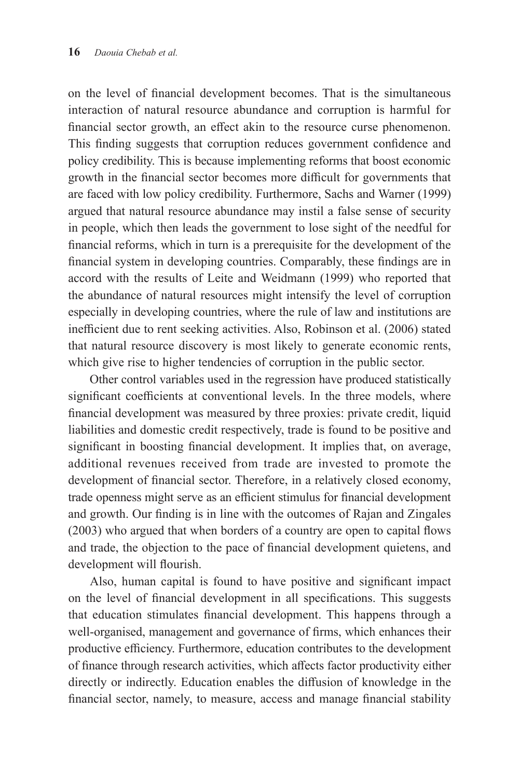on the level of financial development becomes. That is the simultaneous interaction of natural resource abundance and corruption is harmful for financial sector growth, an effect akin to the resource curse phenomenon. This finding suggests that corruption reduces government confidence and policy credibility. This is because implementing reforms that boost economic growth in the financial sector becomes more difficult for governments that are faced with low policy credibility. Furthermore, Sachs and Warner (1999) argued that natural resource abundance may instil a false sense of security in people, which then leads the government to lose sight of the needful for financial reforms, which in turn is a prerequisite for the development of the financial system in developing countries. Comparably, these findings are in accord with the results of Leite and Weidmann (1999) who reported that the abundance of natural resources might intensify the level of corruption especially in developing countries, where the rule of law and institutions are inefficient due to rent seeking activities. Also, Robinson et al. (2006) stated that natural resource discovery is most likely to generate economic rents, which give rise to higher tendencies of corruption in the public sector.

Other control variables used in the regression have produced statistically significant coefficients at conventional levels. In the three models, where financial development was measured by three proxies: private credit, liquid liabilities and domestic credit respectively, trade is found to be positive and significant in boosting financial development. It implies that, on average, additional revenues received from trade are invested to promote the development of financial sector. Therefore, in a relatively closed economy, trade openness might serve as an efficient stimulus for financial development and growth. Our finding is in line with the outcomes of Rajan and Zingales (2003) who argued that when borders of a country are open to capital flows and trade, the objection to the pace of financial development quietens, and development will flourish.

Also, human capital is found to have positive and significant impact on the level of financial development in all specifications. This suggests that education stimulates financial development. This happens through a well-organised, management and governance of firms, which enhances their productive efficiency. Furthermore, education contributes to the development of finance through research activities, which affects factor productivity either directly or indirectly. Education enables the diffusion of knowledge in the financial sector, namely, to measure, access and manage financial stability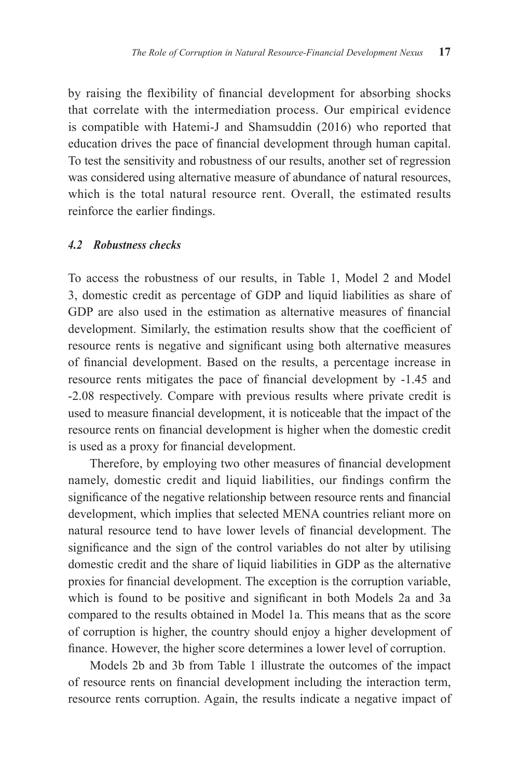by raising the flexibility of financial development for absorbing shocks that correlate with the intermediation process. Our empirical evidence is compatible with Hatemi-J and Shamsuddin (2016) who reported that education drives the pace of financial development through human capital. To test the sensitivity and robustness of our results, another set of regression was considered using alternative measure of abundance of natural resources, which is the total natural resource rent. Overall, the estimated results reinforce the earlier findings.

#### *4.2 Robustness checks*

To access the robustness of our results, in Table 1, Model 2 and Model 3, domestic credit as percentage of GDP and liquid liabilities as share of GDP are also used in the estimation as alternative measures of financial development. Similarly, the estimation results show that the coefficient of resource rents is negative and significant using both alternative measures of financial development. Based on the results, a percentage increase in resource rents mitigates the pace of financial development by -1.45 and -2.08 respectively. Compare with previous results where private credit is used to measure financial development, it is noticeable that the impact of the resource rents on financial development is higher when the domestic credit is used as a proxy for financial development.

Therefore, by employing two other measures of financial development namely, domestic credit and liquid liabilities, our findings confirm the significance of the negative relationship between resource rents and financial development, which implies that selected MENA countries reliant more on natural resource tend to have lower levels of financial development. The significance and the sign of the control variables do not alter by utilising domestic credit and the share of liquid liabilities in GDP as the alternative proxies for financial development. The exception is the corruption variable, which is found to be positive and significant in both Models 2a and 3a compared to the results obtained in Model 1a. This means that as the score of corruption is higher, the country should enjoy a higher development of finance. However, the higher score determines a lower level of corruption.

Models 2b and 3b from Table 1 illustrate the outcomes of the impact of resource rents on financial development including the interaction term, resource rents corruption. Again, the results indicate a negative impact of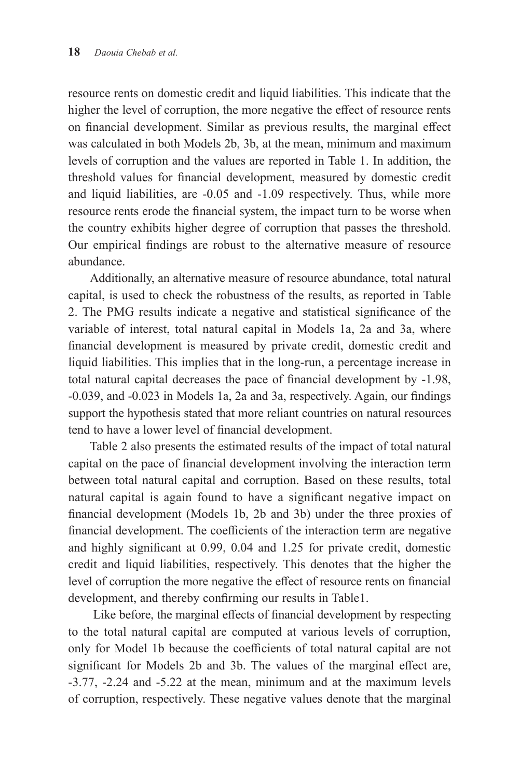resource rents on domestic credit and liquid liabilities. This indicate that the higher the level of corruption, the more negative the effect of resource rents on financial development. Similar as previous results, the marginal effect was calculated in both Models 2b, 3b, at the mean, minimum and maximum levels of corruption and the values are reported in Table 1. In addition, the threshold values for financial development, measured by domestic credit and liquid liabilities, are -0.05 and -1.09 respectively. Thus, while more resource rents erode the financial system, the impact turn to be worse when the country exhibits higher degree of corruption that passes the threshold. Our empirical findings are robust to the alternative measure of resource abundance.

Additionally, an alternative measure of resource abundance, total natural capital, is used to check the robustness of the results, as reported in Table 2. The PMG results indicate a negative and statistical significance of the variable of interest, total natural capital in Models 1a, 2a and 3a, where financial development is measured by private credit, domestic credit and liquid liabilities. This implies that in the long-run, a percentage increase in total natural capital decreases the pace of financial development by -1.98, -0.039, and -0.023 in Models 1a, 2a and 3a, respectively. Again, our findings support the hypothesis stated that more reliant countries on natural resources tend to have a lower level of financial development.

Table 2 also presents the estimated results of the impact of total natural capital on the pace of financial development involving the interaction term between total natural capital and corruption. Based on these results, total natural capital is again found to have a significant negative impact on financial development (Models 1b, 2b and 3b) under the three proxies of financial development. The coefficients of the interaction term are negative and highly significant at 0.99, 0.04 and 1.25 for private credit, domestic credit and liquid liabilities, respectively. This denotes that the higher the level of corruption the more negative the effect of resource rents on financial development, and thereby confirming our results in Table1.

Like before, the marginal effects of financial development by respecting to the total natural capital are computed at various levels of corruption, only for Model 1b because the coefficients of total natural capital are not significant for Models 2b and 3b. The values of the marginal effect are, -3.77, -2.24 and -5.22 at the mean, minimum and at the maximum levels of corruption, respectively. These negative values denote that the marginal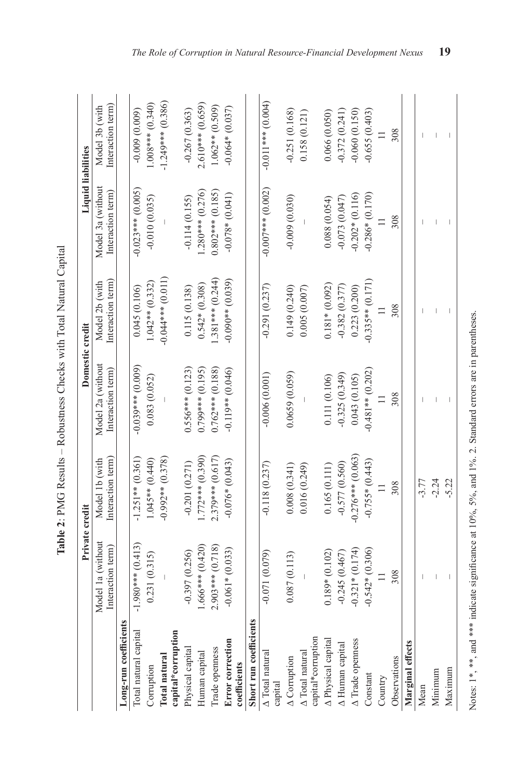|                                       | Private credit                         |                                    | Domestic credit                        |                                    | <b>Liquid liabilities</b>             |                                    |
|---------------------------------------|----------------------------------------|------------------------------------|----------------------------------------|------------------------------------|---------------------------------------|------------------------------------|
|                                       | Model 1a (without<br>Interaction term) | Interaction term<br>Model 1b (with | Model 2a (without<br>Interaction term) | Interaction term<br>Model 2b (with | Model 3a (without<br>Interaction term | Interaction term<br>Model 3b (with |
| Long-run coefficients                 |                                        |                                    |                                        |                                    |                                       |                                    |
| Total natural capital                 | $-1.980***$ (0.413)                    | $-1.251**$ (0.361)                 | $-0.039***$ (0.009)                    | 0.045 (0.106)                      | $-0.023***$ (0.005)                   | $-0.009(0.009)$                    |
| Corruption                            | 0.231(0.315)                           | $1.045**$ $(0.440)$                | 0.083(0.052)                           | $1.042**$ $(0.332)$                | $-0.010(0.035)$                       | $1.008***$ (0.340)                 |
| Total natural                         |                                        | $-0.992**$ (0.378)                 |                                        | $-0.044***$ (0.011)                |                                       | $-1.249***$ (0.386)                |
| capital*corruption                    |                                        |                                    |                                        |                                    |                                       |                                    |
| Physical capital                      | $-0.397(0.256)$                        | $-0.201(0.271)$                    | $0.556***$ (0.123)                     | 0.115(0.138)                       | $-0.114(0.155)$                       | $-0.267(0.363)$                    |
| Human capital                         | $1.666***$ (0.420)                     | $.772***$ (0.390)                  | $0.799***$ (0.195)                     | $0.542*(0.308)$                    | $1.280***$ (0.276)                    | $2.610***$ (0.659)                 |
| Trade openness                        | $2.903***$ (0.718)                     | 2.379*** (0.617)                   | $0.762***$ (0.188)                     | $.381***$ (0.244)                  | $0.802***$ (0.185)                    | $1.062**$ (0.509)                  |
| Error correction                      | $-0.061*(0.033)$                       | $-0.076*(0.043)$                   | $-0.119**$ (0.046)                     | $-0.090**$ (0.039)                 | $-0.078*(0.041)$                      | $-0.064*(0.037)$                   |
| coefficients                          |                                        |                                    |                                        |                                    |                                       |                                    |
| Short run coefficients                |                                        |                                    |                                        |                                    |                                       |                                    |
| $\triangle$ Total natural<br>capital  | (670.071(0.079))                       | $-0.118(0.237)$                    | $-0.006(0.001)$                        | $-0.291(0.237)$                    | $-0.007***$ (0.002)                   | $-0.011***$ (0.004)                |
| $\triangle$ Corruption                | 0.087(0.113)                           | 0.008(0.341)                       | 0.0659(0.059)                          | 0.149(0.240)                       | $-0.009(0.030)$                       | $-0.251(0.168)$                    |
| capital*corruption<br>A Total natural |                                        | 0.016(0.249)                       |                                        | 0.005(0.007)                       |                                       | 0.158(0.121)                       |
| A Physical capital                    | $0.189*(0.102)$                        | 0.165(0.111)                       | 0.111 (0.106)                          | $0.181*(0.092)$                    | 0.088 (0.054)                         | 0.066 (0.050)                      |
| A Human capital                       | $-0.245(0.467)$                        | $-0.577(0.560)$                    | $-0.325(0.349)$                        | $-0.382(0.377)$                    | $-0.073(0.047)$                       | $-0.372(0.241)$                    |
| A Trade openness                      | $-0.321*(0.174)$                       | $-0.276***$ (0.063)                | 0.043(0.105)                           | 0.223(0.200)                       | $-0.202*(0.116)$                      | $-0.060(0.150)$                    |
| Constant                              | $-0.542*(0.306)$                       | $-0.755*(0.443)$                   | $-0.481**$ (0.202)                     | $-0.335**$ (0.171)                 | $-0.286*(0.170)$                      | $-0.655(0.403)$                    |
| Country                               | $\equiv$                               |                                    |                                        |                                    |                                       | $\equiv$                           |
| Observations                          | 308                                    | 308                                | 308                                    | 308                                | 308                                   | 308                                |
| Marginal effects                      |                                        |                                    |                                        |                                    |                                       |                                    |
| Mean                                  |                                        | $-3.77$                            |                                        |                                    |                                       |                                    |
| Minimum                               |                                        | $-2.24$                            |                                        |                                    |                                       |                                    |
| Maximur                               |                                        | $-5.22$                            |                                        |                                    |                                       |                                    |

Table 2: PMG Results - Robustness Checks with Total Natural Capital **Table 2**: PMG Results – Robustness Checks with Total Natural Capital

Notes: 1\*, \*\*, and \*\*\* indicate significance at 10%, 5%, and 1%. 2. Standard errors are in parentheses. Notes: 1\*, \*\*\*, and \*\*\* indicate significance at  $10\%$ ,  $5\%$ , and  $1\%$ . 2. Standard errors are in parentheses.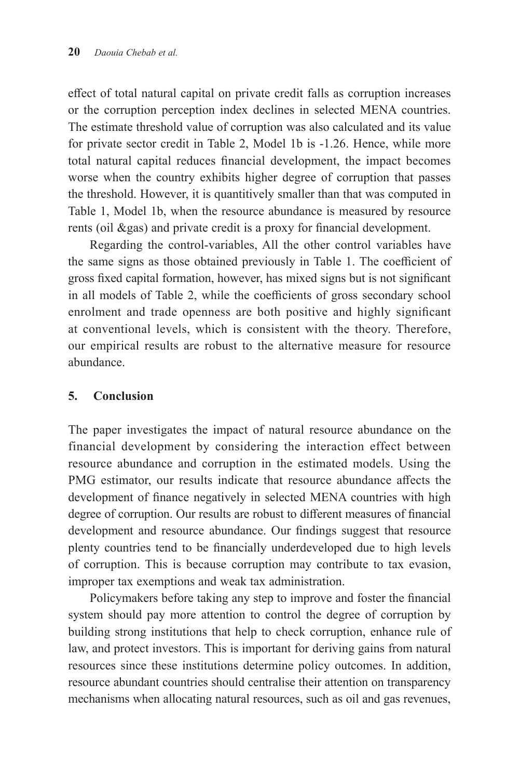effect of total natural capital on private credit falls as corruption increases or the corruption perception index declines in selected MENA countries. The estimate threshold value of corruption was also calculated and its value for private sector credit in Table 2, Model 1b is -1.26. Hence, while more total natural capital reduces financial development, the impact becomes worse when the country exhibits higher degree of corruption that passes the threshold. However, it is quantitively smaller than that was computed in Table 1, Model 1b, when the resource abundance is measured by resource rents (oil &gas) and private credit is a proxy for financial development.

Regarding the control-variables, All the other control variables have the same signs as those obtained previously in Table 1. The coefficient of gross fixed capital formation, however, has mixed signs but is not significant in all models of Table 2, while the coefficients of gross secondary school enrolment and trade openness are both positive and highly significant at conventional levels, which is consistent with the theory. Therefore, our empirical results are robust to the alternative measure for resource abundance.

#### **5. Conclusion**

The paper investigates the impact of natural resource abundance on the financial development by considering the interaction effect between resource abundance and corruption in the estimated models. Using the PMG estimator, our results indicate that resource abundance affects the development of finance negatively in selected MENA countries with high degree of corruption. Our results are robust to different measures of financial development and resource abundance. Our findings suggest that resource plenty countries tend to be financially underdeveloped due to high levels of corruption. This is because corruption may contribute to tax evasion, improper tax exemptions and weak tax administration.

Policymakers before taking any step to improve and foster the financial system should pay more attention to control the degree of corruption by building strong institutions that help to check corruption, enhance rule of law, and protect investors. This is important for deriving gains from natural resources since these institutions determine policy outcomes. In addition, resource abundant countries should centralise their attention on transparency mechanisms when allocating natural resources, such as oil and gas revenues,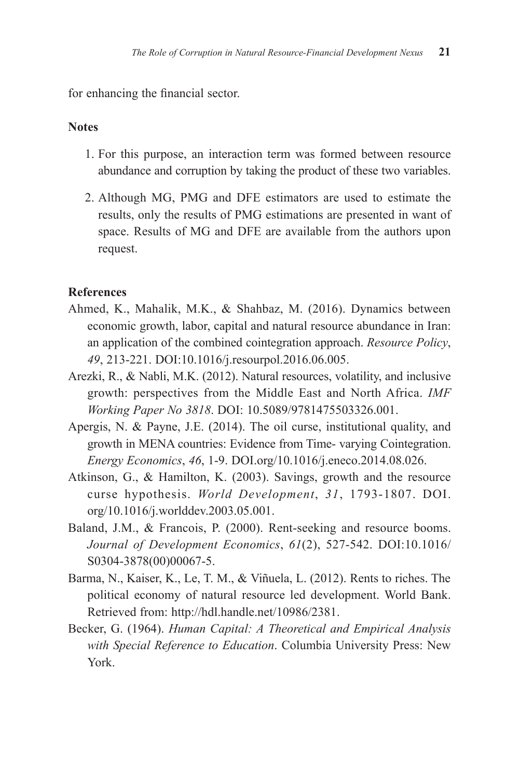for enhancing the financial sector.

## **Notes**

- 1. For this purpose, an interaction term was formed between resource abundance and corruption by taking the product of these two variables.
- 2. Although MG, PMG and DFE estimators are used to estimate the results, only the results of PMG estimations are presented in want of space. Results of MG and DFE are available from the authors upon request.

#### **References**

- Ahmed, K., Mahalik, M.K., & Shahbaz, M. (2016). Dynamics between economic growth, labor, capital and natural resource abundance in Iran: an application of the combined cointegration approach. *Resource Policy*, *49*, 213-221. DOI:10.1016/j.resourpol.2016.06.005.
- Arezki, R., & Nabli, M.K. (2012). Natural resources, volatility, and inclusive growth: perspectives from the Middle East and North Africa. *IMF Working Paper No 3818*. DOI: 10.5089/9781475503326.001.
- Apergis, N. & Payne, J.E. (2014). The oil curse, institutional quality, and growth in MENA countries: Evidence from Time- varying Cointegration. *Energy Economics*, *46*, 1-9. DOI.org/10.1016/j.eneco.2014.08.026.
- Atkinson, G., & Hamilton, K. (2003). Savings, growth and the resource curse hypothesis. *World Development*, *31*, 1793-1807. DOI. org/10.1016/j.worlddev.2003.05.001.
- Baland, J.M., & Francois, P. (2000). Rent-seeking and resource booms. *Journal of Development Economics*, *61*(2), 527-542. DOI:10.1016/ S0304-3878(00)00067-5.
- Barma, N., Kaiser, K., Le, T. M., & Viñuela, L. (2012). Rents to riches. The political economy of natural resource led development. World Bank. Retrieved from: http://hdl.handle.net/10986/2381.
- Becker, G. (1964). *Human Capital: A Theoretical and Empirical Analysis with Special Reference to Education*. Columbia University Press: New York.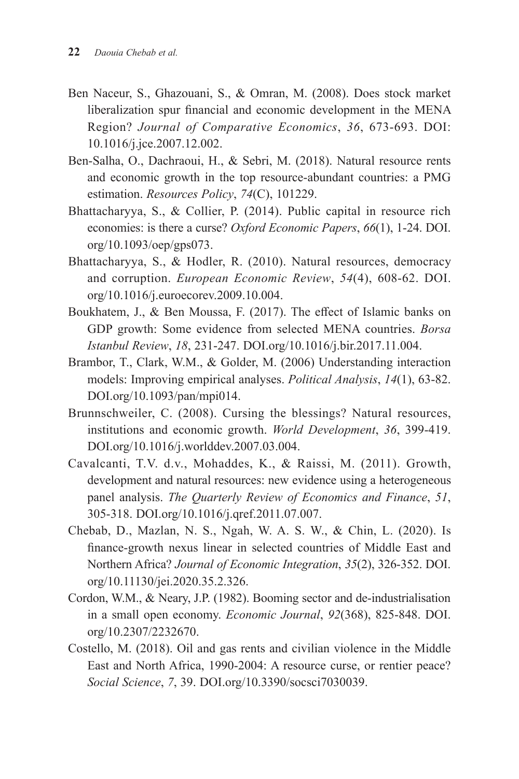- Ben Naceur, S., Ghazouani, S., & Omran, M. (2008). Does stock market liberalization spur financial and economic development in the MENA Region? *Journal of Comparative Economics*, *36*, 673-693. DOI: 10.1016/j.jce.2007.12.002.
- Ben-Salha, O., Dachraoui, H., & Sebri, M. (2018). Natural resource rents and economic growth in the top resource-abundant countries: a PMG estimation. *Resources Policy*, *74*(C), 101229.
- Bhattacharyya, S., & Collier, P. (2014). Public capital in resource rich economies: is there a curse? *Oxford Economic Papers*, *66*(1), 1-24. DOI. org/10.1093/oep/gps073.
- Bhattacharyya, S., & Hodler, R. (2010). Natural resources, democracy and corruption. *European Economic Review*, *54*(4), 608-62. DOI. org/10.1016/j.euroecorev.2009.10.004.
- Boukhatem, J., & Ben Moussa, F. (2017). The effect of Islamic banks on GDP growth: Some evidence from selected MENA countries. *Borsa Istanbul Review*, *18*, 231-247. DOI.org/10.1016/j.bir.2017.11.004.
- Brambor, T., Clark, W.M., & Golder, M. (2006) Understanding interaction models: Improving empirical analyses. *Political Analysis*, *14*(1), 63-82. DOI.org/10.1093/pan/mpi014.
- Brunnschweiler, C. (2008). Cursing the blessings? Natural resources, institutions and economic growth. *World Development*, *36*, 399-419. DOI.org/10.1016/j.worlddev.2007.03.004.
- Cavalcanti, T.V. d.v., Mohaddes, K., & Raissi, M. (2011). Growth, development and natural resources: new evidence using a heterogeneous panel analysis. *The Quarterly Review of Economics and Finance*, *51*, 305-318. DOI.org/10.1016/j.qref.2011.07.007.
- Chebab, D., Mazlan, N. S., Ngah, W. A. S. W., & Chin, L. (2020). Is finance-growth nexus linear in selected countries of Middle East and Northern Africa? *Journal of Economic Integration*, *35*(2), 326-352. DOI. org/10.11130/jei.2020.35.2.326.
- Cordon, W.M., & Neary, J.P. (1982). Booming sector and de-industrialisation in a small open economy. *Economic Journal*, *92*(368), 825-848. DOI. org/10.2307/2232670.
- Costello, M. (2018). Oil and gas rents and civilian violence in the Middle East and North Africa, 1990-2004: A resource curse, or rentier peace? *Social Science*, *7*, 39. DOI.org/10.3390/socsci7030039.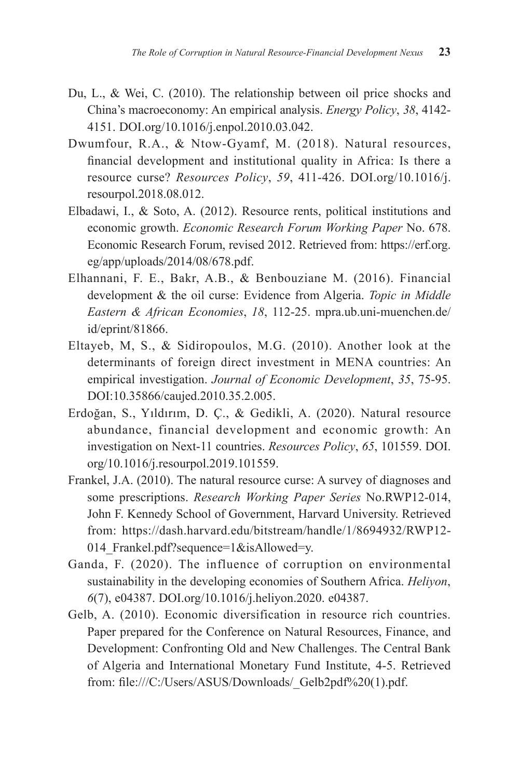- Du, L., & Wei, C. (2010). The relationship between oil price shocks and China's macroeconomy: An empirical analysis. *Energy Policy*, *38*, 4142- 4151. DOI.org/10.1016/j.enpol.2010.03.042.
- Dwumfour, R.A., & Ntow-Gyamf, M. (2018). Natural resources, financial development and institutional quality in Africa: Is there a resource curse? *Resources Policy*, *59*, 411-426. DOI.org/10.1016/j. resourpol.2018.08.012.
- Elbadawi, I., & Soto, A. (2012). Resource rents, political institutions and economic growth. *Economic Research Forum Working Paper* No. 678. Economic Research Forum, revised 2012. Retrieved from: https://erf.org. eg/app/uploads/2014/08/678.pdf.
- Elhannani, F. E., Bakr, A.B., & Benbouziane M. (2016). Financial development & the oil curse: Evidence from Algeria. *Topic in Middle Eastern & African Economies*, *18*, 112-25. mpra.ub.uni-muenchen.de/ id/eprint/81866.
- Eltayeb, M, S., & Sidiropoulos, M.G. (2010). Another look at the determinants of foreign direct investment in MENA countries: An empirical investigation. *Journal of Economic Development*, *35*, 75-95. DOI:10.35866/caujed.2010.35.2.005.
- Erdoğan, S., Yıldırım, D. Ç., & Gedikli, A. (2020). Natural resource abundance, financial development and economic growth: An investigation on Next-11 countries. *Resources Policy*, *65*, 101559. DOI. org/10.1016/j.resourpol.2019.101559.
- Frankel, J.A. (2010). The natural resource curse: A survey of diagnoses and some prescriptions. *Research Working Paper Series* No.RWP12-014, John F. Kennedy School of Government, Harvard University. Retrieved from: https://dash.harvard.edu/bitstream/handle/1/8694932/RWP12- 014 Frankel.pdf?sequence=1&isAllowed=y.
- Ganda, F. (2020). The influence of corruption on environmental sustainability in the developing economies of Southern Africa. *Heliyon*, *6*(7), e04387. DOI.org/10.1016/j.heliyon.2020. e04387.
- Gelb, A. (2010). Economic diversification in resource rich countries. Paper prepared for the Conference on Natural Resources, Finance, and Development: Confronting Old and New Challenges. The Central Bank of Algeria and International Monetary Fund Institute, 4-5. Retrieved from: file:///C:/Users/ASUS/Downloads/\_Gelb2pdf%20(1).pdf.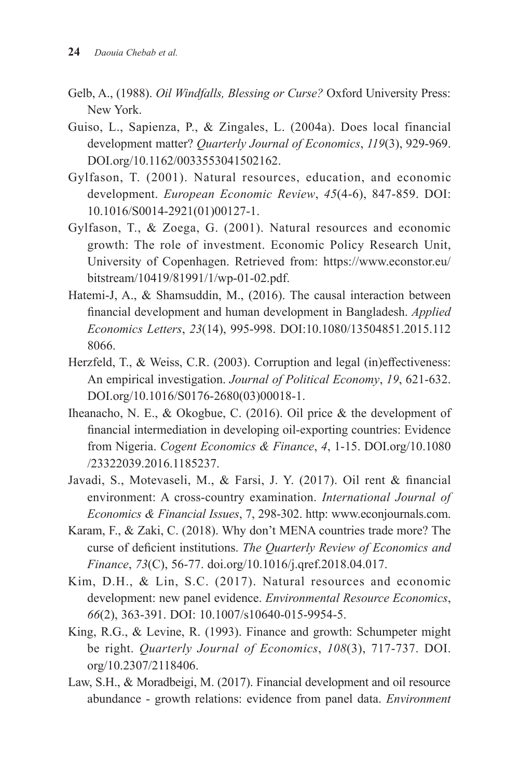- Gelb, A., (1988). *Oil Windfalls, Blessing or Curse?* Oxford University Press: New York.
- Guiso, L., Sapienza, P., & Zingales, L. (2004a). Does local financial development matter? *Quarterly Journal of Economics*, *119*(3), 929-969. DOI.org/10.1162/0033553041502162.
- Gylfason, T. (2001). Natural resources, education, and economic development. *European Economic Review*, *45*(4-6), 847-859. DOI: 10.1016/S0014-2921(01)00127-1.
- Gylfason, T., & Zoega, G. (2001). Natural resources and economic growth: The role of investment. Economic Policy Research Unit, University of Copenhagen. Retrieved from: https://www.econstor.eu/ bitstream/10419/81991/1/wp-01-02.pdf.
- Hatemi-J, A., & Shamsuddin, M., (2016). The causal interaction between financial development and human development in Bangladesh. *Applied Economics Letters*, *23*(14), 995-998. DOI:10.1080/13504851.2015.112 8066.
- Herzfeld, T., & Weiss, C.R. (2003). Corruption and legal (in)effectiveness: An empirical investigation. *Journal of Political Economy*, *19*, 621-632. DOI.org/10.1016/S0176-2680(03)00018-1.
- Iheanacho, N. E., & Okogbue, C. (2016). Oil price & the development of financial intermediation in developing oil-exporting countries: Evidence from Nigeria. *Cogent Economics & Finance*, *4*, 1-15. DOI.org/10.1080 /23322039.2016.1185237.
- Javadi, S., Motevaseli, M., & Farsi, J. Y. (2017). Oil rent & financial environment: A cross-country examination. *International Journal of Economics & Financial Issues*, 7, 298-302. http: www.econjournals.com.
- Karam, F., & Zaki, C. (2018). Why don't MENA countries trade more? The curse of deficient institutions. *The Quarterly Review of Economics and Finance*, *73*(C), 56-77. doi.org/10.1016/j.qref.2018.04.017.
- Kim, D.H., & Lin, S.C. (2017). Natural resources and economic development: new panel evidence. *Environmental Resource Economics*, *66*(2), 363-391. DOI: 10.1007/s10640-015-9954-5.
- King, R.G., & Levine, R. (1993). Finance and growth: Schumpeter might be right. *Quarterly Journal of Economics*, *108*(3), 717-737. DOI. org/10.2307/2118406.
- Law, S.H., & Moradbeigi, M. (2017). Financial development and oil resource abundance - growth relations: evidence from panel data. *Environment*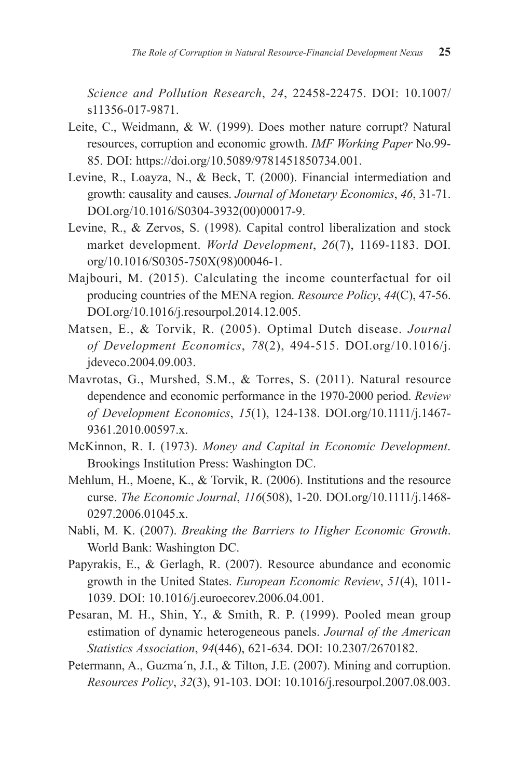*Science and Pollution Research*, *24*, 22458-22475. DOI: 10.1007/ s11356-017-9871.

- Leite, C., Weidmann, & W. (1999). Does mother nature corrupt? Natural resources, corruption and economic growth. *IMF Working Paper* No.99- 85. DOI: https://doi.org/10.5089/9781451850734.001.
- Levine, R., Loayza, N., & Beck, T. (2000). Financial intermediation and growth: causality and causes. *Journal of Monetary Economics*, *46*, 31-71. DOI.org/10.1016/S0304-3932(00)00017-9.
- Levine, R., & Zervos, S. (1998). Capital control liberalization and stock market development. *World Development*, *26*(7), 1169-1183. DOI. org/10.1016/S0305-750X(98)00046-1.
- Majbouri, M. (2015). Calculating the income counterfactual for oil producing countries of the MENA region. *Resource Policy*, *44*(C), 47-56. DOI.org/10.1016/j.resourpol.2014.12.005.
- Matsen, E., & Torvik, R. (2005). Optimal Dutch disease. *Journal of Development Economics*, *78*(2), 494-515. DOI.org/10.1016/j. jdeveco.2004.09.003.
- Mavrotas, G., Murshed, S.M., & Torres, S. (2011). Natural resource dependence and economic performance in the 1970-2000 period. *Review of Development Economics*, *15*(1), 124-138. DOI.org/10.1111/j.1467- 9361.2010.00597.x.
- McKinnon, R. I. (1973). *Money and Capital in Economic Development*. Brookings Institution Press: Washington DC.
- Mehlum, H., Moene, K., & Torvik, R. (2006). Institutions and the resource curse. *The Economic Journal*, *116*(508), 1-20. DOI.org/10.1111/j.1468- 0297.2006.01045.x.
- Nabli, M. K. (2007). *Breaking the Barriers to Higher Economic Growth*. World Bank: Washington DC.
- Papyrakis, E., & Gerlagh, R. (2007). Resource abundance and economic growth in the United States. *European Economic Review*, *51*(4), 1011- 1039. DOI: 10.1016/j.euroecorev.2006.04.001.
- Pesaran, M. H., Shin, Y., & Smith, R. P. (1999). Pooled mean group estimation of dynamic heterogeneous panels. *Journal of the American Statistics Association*, *94*(446), 621-634. DOI: 10.2307/2670182.
- Petermann, A., Guzma´n, J.I., & Tilton, J.E. (2007). Mining and corruption. *Resources Policy*, *32*(3), 91-103. DOI: 10.1016/j.resourpol.2007.08.003.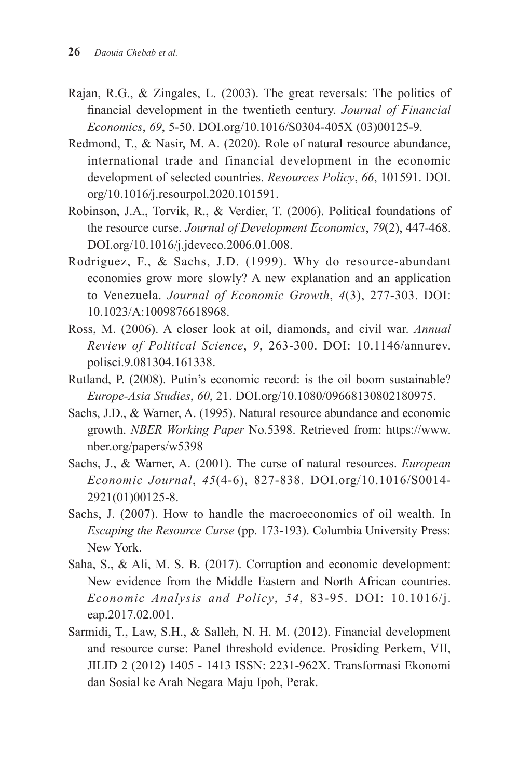- Rajan, R.G., & Zingales, L. (2003). The great reversals: The politics of financial development in the twentieth century. *Journal of Financial Economics*, *69*, 5-50. DOI.org/10.1016/S0304-405X (03)00125-9.
- Redmond, T., & Nasir, M. A. (2020). Role of natural resource abundance, international trade and financial development in the economic development of selected countries. *Resources Policy*, *66*, 101591. DOI. org/10.1016/j.resourpol.2020.101591.
- Robinson, J.A., Torvik, R., & Verdier, T. (2006). Political foundations of the resource curse. *Journal of Development Economics*, *79*(2), 447-468. DOI.org/10.1016/j.jdeveco.2006.01.008.
- Rodriguez, F., & Sachs, J.D. (1999). Why do resource-abundant economies grow more slowly? A new explanation and an application to Venezuela. *Journal of Economic Growth*, *4*(3), 277-303. DOI: 10.1023/A:1009876618968.
- Ross, M. (2006). A closer look at oil, diamonds, and civil war. *Annual Review of Political Science*, *9*, 263-300. DOI: 10.1146/annurev. polisci.9.081304.161338.
- Rutland, P. (2008). Putin's economic record: is the oil boom sustainable? *Europe-Asia Studies*, *60*, 21. DOI.org/10.1080/09668130802180975.
- Sachs, J.D., & Warner, A. (1995). Natural resource abundance and economic growth. *NBER Working Paper* No.5398. Retrieved from: https://www. nber.org/papers/w5398
- Sachs, J., & Warner, A. (2001). The curse of natural resources. *European Economic Journal*, *45*(4-6), 827-838. DOI.org/10.1016/S0014- 2921(01)00125-8.
- Sachs, J. (2007). How to handle the macroeconomics of oil wealth. In *Escaping the Resource Curse* (pp. 173-193). Columbia University Press: New York.
- Saha, S., & Ali, M. S. B. (2017). Corruption and economic development: New evidence from the Middle Eastern and North African countries. *Economic Analysis and Policy*, *54*, 83-95. DOI: 10.1016/j. eap.2017.02.001.
- Sarmidi, T., Law, S.H., & Salleh, N. H. M. (2012). Financial development and resource curse: Panel threshold evidence. Prosiding Perkem, VII, JILID 2 (2012) 1405 - 1413 ISSN: 2231-962X. Transformasi Ekonomi dan Sosial ke Arah Negara Maju Ipoh, Perak.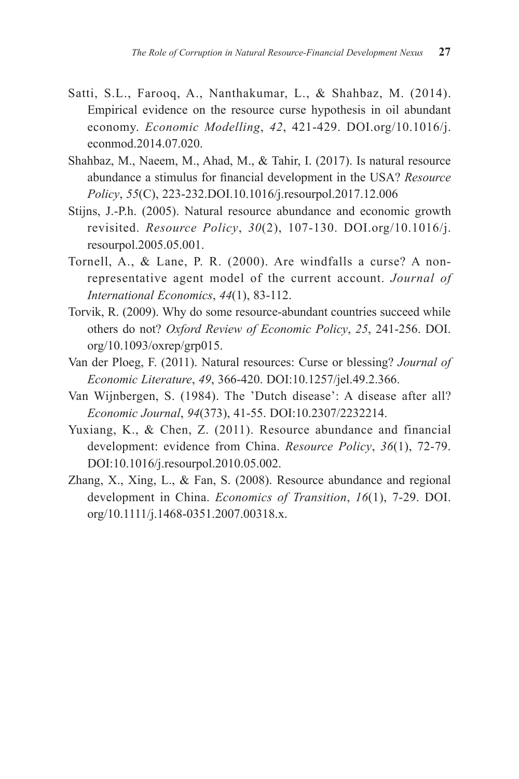- Satti, S.L., Farooq, A., Nanthakumar, L., & Shahbaz, M. (2014). Empirical evidence on the resource curse hypothesis in oil abundant economy. *Economic Modelling*, *42*, 421-429. DOI.org/10.1016/j. econmod.2014.07.020.
- Shahbaz, M., Naeem, M., Ahad, M., & Tahir, I. (2017). Is natural resource abundance a stimulus for financial development in the USA? *Resource Policy*, *55*(C), 223-232.DOI.10.1016/j.resourpol.2017.12.006
- Stijns, J.-P.h. (2005). Natural resource abundance and economic growth revisited. *Resource Policy*, *30*(2), 107-130. DOI.org/10.1016/j. resourpol.2005.05.001.
- Tornell, A., & Lane, P. R. (2000). Are windfalls a curse? A nonrepresentative agent model of the current account. *Journal of International Economics*, *44*(1), 83-112.
- Torvik, R. (2009). Why do some resource-abundant countries succeed while others do not? *Oxford Review of Economic Policy*, *25*, 241-256. DOI. org/10.1093/oxrep/grp015.
- Van der Ploeg, F. (2011). Natural resources: Curse or blessing? *Journal of Economic Literature*, *49*, 366-420. DOI:10.1257/jel.49.2.366.
- Van Wijnbergen, S. (1984). The 'Dutch disease': A disease after all? *Economic Journal*, *94*(373), 41-55. DOI:10.2307/2232214.
- Yuxiang, K., & Chen, Z. (2011). Resource abundance and financial development: evidence from China. *Resource Policy*, *36*(1), 72-79. DOI:10.1016/j.resourpol.2010.05.002.
- Zhang, X., Xing, L., & Fan, S. (2008). Resource abundance and regional development in China. *Economics of Transition*, *16*(1), 7-29. DOI. org/10.1111/j.1468-0351.2007.00318.x.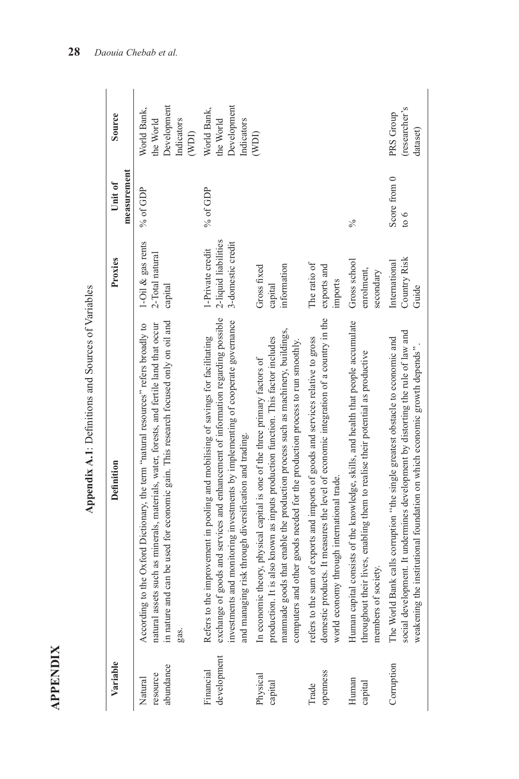| ٠ |  |
|---|--|
|   |  |
|   |  |

| I                                                                                                                                           |
|---------------------------------------------------------------------------------------------------------------------------------------------|
|                                                                                                                                             |
|                                                                                                                                             |
| I<br>¢                                                                                                                                      |
| I<br>Ì                                                                                                                                      |
| i<br>ı<br>¢                                                                                                                                 |
| ı<br>ı                                                                                                                                      |
|                                                                                                                                             |
|                                                                                                                                             |
|                                                                                                                                             |
|                                                                                                                                             |
| I<br>j<br>֖֖֦֖֖֖֖֖֧֦֖֚֚֚֚֚֚֚֚֚֚֚֚֚֚֚֚֚֚֚֞֝֬֝֝֝֝֝֓֞֡֝֬֝֓֞֓֡֬֝֬֓֞֓֡֬֝֓֞֬֝֓֞֬֝֓֞֬֝֓֞֬֝֓֞֬֝֓֞֬֝֓֞֬֝֞֞֞<br>$\begin{array}{c} \hline \end{array}$ |
|                                                                                                                                             |
|                                                                                                                                             |
|                                                                                                                                             |

|                                                    | Source                 | Development<br>World Bank,<br>the World<br>Indicators                                                                                                                                                                                                                       | Development<br>World Bank,<br>the World<br>Indicators                                                                                                                                                                                                                                                           |                                                                                                                                                                                                                                                                                                                                   |                                                                                                                                                                                                                        |                                                                                                                                                                                             | (researcher's<br>PRS Group                                                                                                                                                                                                                    |
|----------------------------------------------------|------------------------|-----------------------------------------------------------------------------------------------------------------------------------------------------------------------------------------------------------------------------------------------------------------------------|-----------------------------------------------------------------------------------------------------------------------------------------------------------------------------------------------------------------------------------------------------------------------------------------------------------------|-----------------------------------------------------------------------------------------------------------------------------------------------------------------------------------------------------------------------------------------------------------------------------------------------------------------------------------|------------------------------------------------------------------------------------------------------------------------------------------------------------------------------------------------------------------------|---------------------------------------------------------------------------------------------------------------------------------------------------------------------------------------------|-----------------------------------------------------------------------------------------------------------------------------------------------------------------------------------------------------------------------------------------------|
|                                                    |                        | (WDI)                                                                                                                                                                                                                                                                       |                                                                                                                                                                                                                                                                                                                 | (WD)                                                                                                                                                                                                                                                                                                                              |                                                                                                                                                                                                                        |                                                                                                                                                                                             | dataset)                                                                                                                                                                                                                                      |
|                                                    | measurement<br>Unit of | % of GDP                                                                                                                                                                                                                                                                    | % of GDP                                                                                                                                                                                                                                                                                                        |                                                                                                                                                                                                                                                                                                                                   |                                                                                                                                                                                                                        | $\sqrt{6}$                                                                                                                                                                                  | Score from 0<br>$\frac{6}{2}$                                                                                                                                                                                                                 |
|                                                    | Proxies                | 1-Oil & gas rents<br>2-Total natural<br>capital                                                                                                                                                                                                                             | 2-liquid liabilities<br>3-domestic credit<br>1-Private credit                                                                                                                                                                                                                                                   | information<br>Gross fixed<br>capital                                                                                                                                                                                                                                                                                             | The ratio of<br>exports and<br>imports                                                                                                                                                                                 | Gross school<br>enrolment,<br>secondary                                                                                                                                                     | Country Risk<br>International<br>Guide                                                                                                                                                                                                        |
| Appendix A.1: Definitions and Sources of Variables | <b>Definition</b>      | in nature and can be used for economic gain. This research focused only on oil and<br>natural assets such as minerals, materials, water, forests, and fertile land that occur<br>According to the Oxford Dictionary, the term "natural resources" refers broadly to<br>gas. | exchange of goods and services and enhancement of information regarding possible<br>investments and monitoring investments by implementing of cooperate governance<br>Refers to the improvement in pooling and mobilising of savings for facilitating<br>and managing risk through diversification and trading. | manmade goods that enable the production process such as machinery, buildings,<br>production. It is also known as inputs production function. This factor includes<br>computers and other goods needed for the production process to run smoothly.<br>In economic theory, physical capital is one of the three primary factors of | domestic products. It measures the level of economic integration of a country in the<br>refers to the sum of exports and imports of goods and services relative to gross<br>world economy through international trade. | Human capital consists of the knowledge, skills, and health that people accumulate<br>throughout their lives, enabling them to realise their potential as productive<br>members of society. | social development. It undermines development by distorting the rule of law and<br>The World Bank calls corruption "the single greatest obstacle to economic and<br>weakening the institutional foundation on which economic growth depends". |
|                                                    | Variable               | abundance<br>resource<br>Natural                                                                                                                                                                                                                                            | development<br>Financial                                                                                                                                                                                                                                                                                        | Physical<br>capital                                                                                                                                                                                                                                                                                                               | openness<br>Trade                                                                                                                                                                                                      | Human<br>capital                                                                                                                                                                            | Corruption                                                                                                                                                                                                                                    |